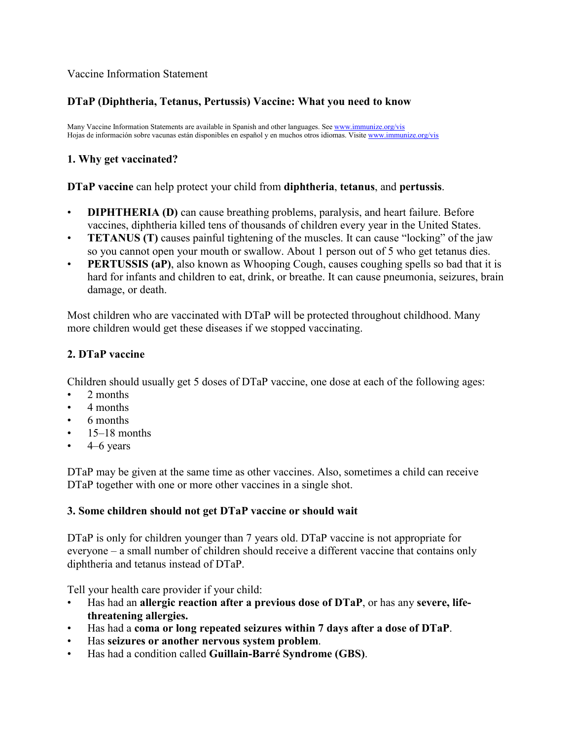### Vaccine Information Statement

## **DTaP (Diphtheria, Tetanus, Pertussis) Vaccine: What you need to know**

Many Vaccine Information Statements are available in Spanish and other languages. Se[e www.immunize.org/vis](http://www.immunize.org/vis) Hojas de información sobre vacunas están disponibles en español y en muchos otros idiomas. Visit[e www.immunize.org/vis](http://www.immunize.org/vis)

### **1. Why get vaccinated?**

#### **DTaP vaccine** can help protect your child from **diphtheria**, **tetanus**, and **pertussis**.

- **DIPHTHERIA (D)** can cause breathing problems, paralysis, and heart failure. Before vaccines, diphtheria killed tens of thousands of children every year in the United States.
- **TETANUS (T)** causes painful tightening of the muscles. It can cause "locking" of the jaw so you cannot open your mouth or swallow. About 1 person out of 5 who get tetanus dies.
- **PERTUSSIS** (aP), also known as Whooping Cough, causes coughing spells so bad that it is hard for infants and children to eat, drink, or breathe. It can cause pneumonia, seizures, brain damage, or death.

Most children who are vaccinated with DTaP will be protected throughout childhood. Many more children would get these diseases if we stopped vaccinating.

### **2. DTaP vaccine**

Children should usually get 5 doses of DTaP vaccine, one dose at each of the following ages:

- 2 months
- 4 months
- 6 months
- 15–18 months
- 4–6 years

DTaP may be given at the same time as other vaccines. Also, sometimes a child can receive DTaP together with one or more other vaccines in a single shot.

#### **3. Some children should not get DTaP vaccine or should wait**

DTaP is only for children younger than 7 years old. DTaP vaccine is not appropriate for everyone – a small number of children should receive a different vaccine that contains only diphtheria and tetanus instead of DTaP.

Tell your health care provider if your child:

- Has had an **allergic reaction after a previous dose of DTaP**, or has any **severe, lifethreatening allergies.**
- Has had a **coma or long repeated seizures within 7 days after a dose of DTaP**.
- Has **seizures or another nervous system problem**.
- Has had a condition called **Guillain-Barré Syndrome (GBS)**.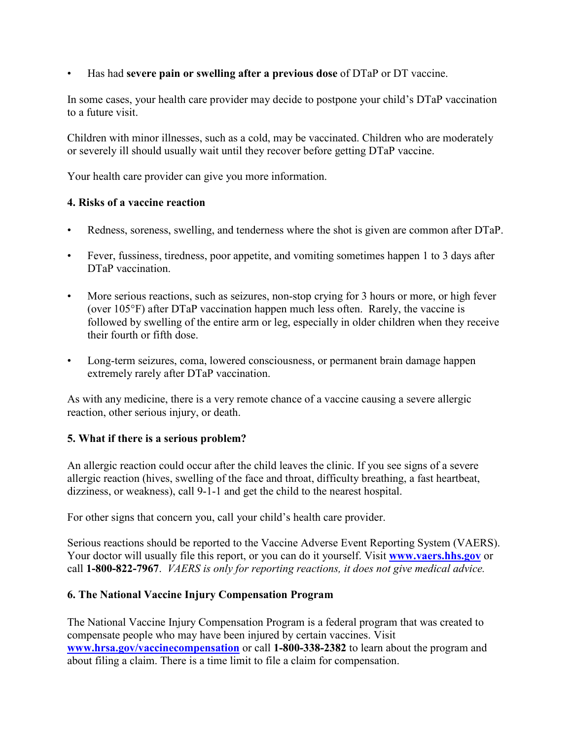• Has had **severe pain or swelling after a previous dose** of DTaP or DT vaccine.

In some cases, your health care provider may decide to postpone your child's DTaP vaccination to a future visit.

Children with minor illnesses, such as a cold, may be vaccinated. Children who are moderately or severely ill should usually wait until they recover before getting DTaP vaccine.

Your health care provider can give you more information.

# **4. Risks of a vaccine reaction**

- Redness, soreness, swelling, and tenderness where the shot is given are common after DTaP.
- Fever, fussiness, tiredness, poor appetite, and vomiting sometimes happen 1 to 3 days after DTaP vaccination.
- More serious reactions, such as seizures, non-stop crying for 3 hours or more, or high fever (over 105°F) after DTaP vaccination happen much less often. Rarely, the vaccine is followed by swelling of the entire arm or leg, especially in older children when they receive their fourth or fifth dose.
- Long-term seizures, coma, lowered consciousness, or permanent brain damage happen extremely rarely after DTaP vaccination.

As with any medicine, there is a very remote chance of a vaccine causing a severe allergic reaction, other serious injury, or death.

# **5. What if there is a serious problem?**

An allergic reaction could occur after the child leaves the clinic. If you see signs of a severe allergic reaction (hives, swelling of the face and throat, difficulty breathing, a fast heartbeat, dizziness, or weakness), call 9-1-1 and get the child to the nearest hospital.

For other signs that concern you, call your child's health care provider.

Serious reactions should be reported to the Vaccine Adverse Event Reporting System (VAERS). Your doctor will usually file this report, or you can do it yourself. Visit **[www.vaers.hhs.gov](http://www.vaers.hhs.gov/)** or call **1-800-822-7967**. *VAERS is only for reporting reactions, it does not give medical advice.*

# **6. The National Vaccine Injury Compensation Program**

The National Vaccine Injury Compensation Program is a federal program that was created to compensate people who may have been injured by certain vaccines. Visit **[www.hrsa.gov/vaccinecompensation](http://www.hrsa.gov/vaccinecompensation)** or call **1-800-338-2382** to learn about the program and about filing a claim. There is a time limit to file a claim for compensation.